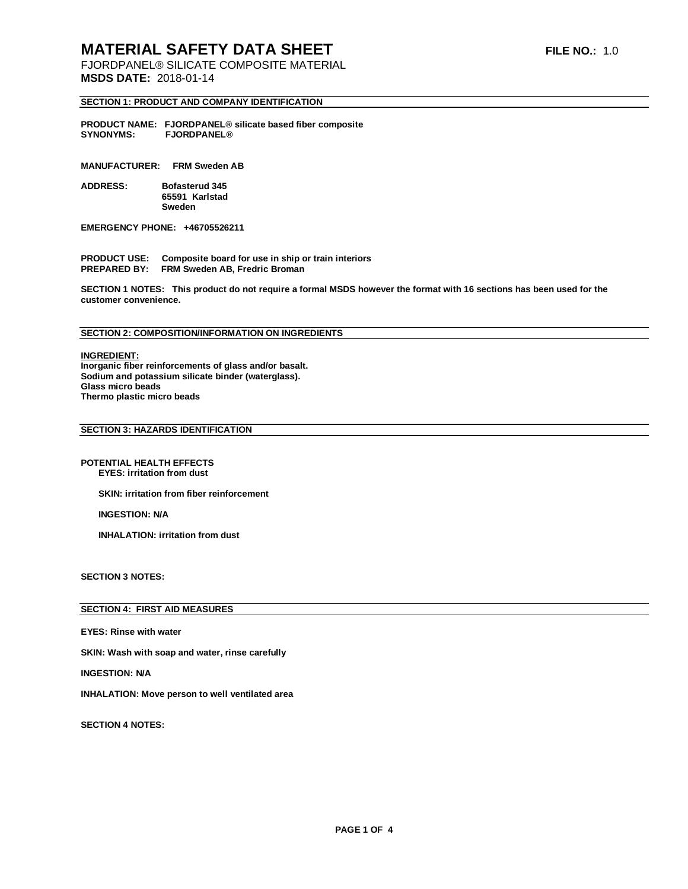# **MATERIAL SAFETY DATA SHEET FILE NO.:** 1.0

FJORDPANEL® SILICATE COMPOSITE MATERIAL **MSDS DATE:** 2018-01-14

### **SECTION 1: PRODUCT AND COMPANY IDENTIFICATION**

**PRODUCT NAME: FJORDPANEL® silicate based fiber composite SYNONYMS: FJORDPANEL®** 

**MANUFACTURER: FRM Sweden AB** 

**ADDRESS: Bofasterud 345 65591 Karlstad Sweden** 

**EMERGENCY PHONE: +46705526211**

**PRODUCT USE: Composite board for use in ship or train interiors PREPARED BY: FRM Sweden AB, Fredric Broman** 

**SECTION 1 NOTES: This product do not require a formal MSDS however the format with 16 sections has been used for the customer convenience.**

#### **SECTION 2: COMPOSITION/INFORMATION ON INGREDIENTS**

**INGREDIENT: Inorganic fiber reinforcements of glass and/or basalt. Sodium and potassium silicate binder (waterglass). Glass micro beads Thermo plastic micro beads**

#### **SECTION 3: HAZARDS IDENTIFICATION**

**POTENTIAL HEALTH EFFECTS EYES: irritation from dust**

 **SKIN: irritation from fiber reinforcement**

 **INGESTION: N/A**

 **INHALATION: irritation from dust**

**SECTION 3 NOTES:**

#### **SECTION 4: FIRST AID MEASURES**

**EYES: Rinse with water**

**SKIN: Wash with soap and water, rinse carefully**

**INGESTION: N/A**

**INHALATION: Move person to well ventilated area**

**SECTION 4 NOTES:**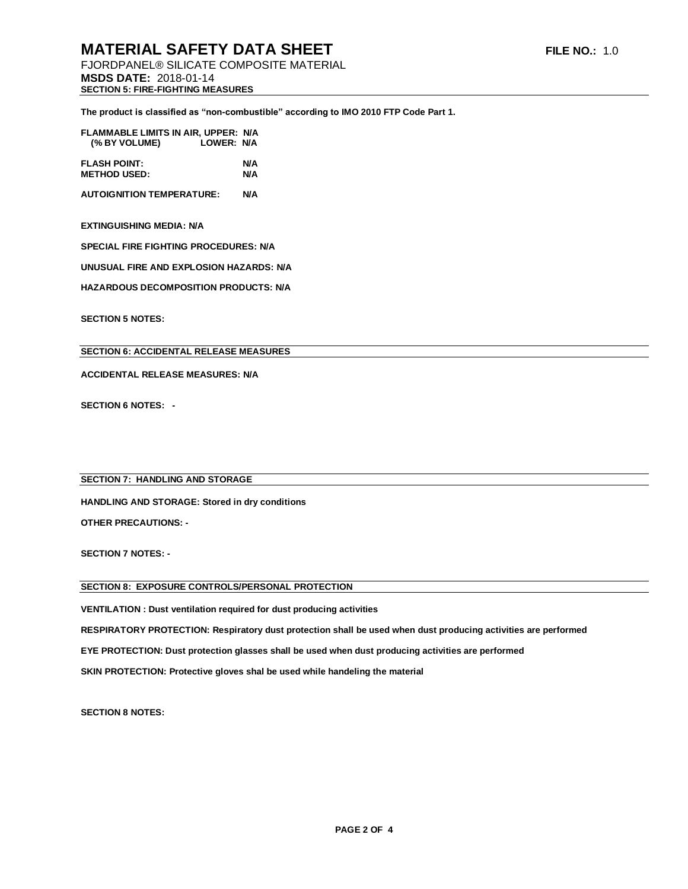**MSDS DATE:** 2018-01-14 **SECTION 5: FIRE-FIGHTING MEASURES**

**The product is classified as "non-combustible" according to IMO 2010 FTP Code Part 1.** 

| FLAMMABLE LIMITS IN AIR, UPPER: N/A |            |  |
|-------------------------------------|------------|--|
| (% BY VOLUME)                       | LOWER: N/A |  |

| <b>FLASH POINT:</b> | N/A |
|---------------------|-----|
| <b>METHOD USED:</b> | N/A |
|                     |     |

**AUTOIGNITION TEMPERATURE: N/A**

#### **EXTINGUISHING MEDIA: N/A**

**SPECIAL FIRE FIGHTING PROCEDURES: N/A**

**UNUSUAL FIRE AND EXPLOSION HAZARDS: N/A**

**HAZARDOUS DECOMPOSITION PRODUCTS: N/A**

**SECTION 5 NOTES:**

**SECTION 6: ACCIDENTAL RELEASE MEASURES**

**ACCIDENTAL RELEASE MEASURES: N/A** 

**SECTION 6 NOTES: -**

#### **SECTION 7: HANDLING AND STORAGE**

**HANDLING AND STORAGE: Stored in dry conditions OTHER PRECAUTIONS: -**

**SECTION 7 NOTES: -**

#### **SECTION 8: EXPOSURE CONTROLS/PERSONAL PROTECTION**

**VENTILATION : Dust ventilation required for dust producing activities RESPIRATORY PROTECTION: Respiratory dust protection shall be used when dust producing activities are performed EYE PROTECTION: Dust protection glasses shall be used when dust producing activities are performed SKIN PROTECTION: Protective gloves shal be used while handeling the material**

**SECTION 8 NOTES:**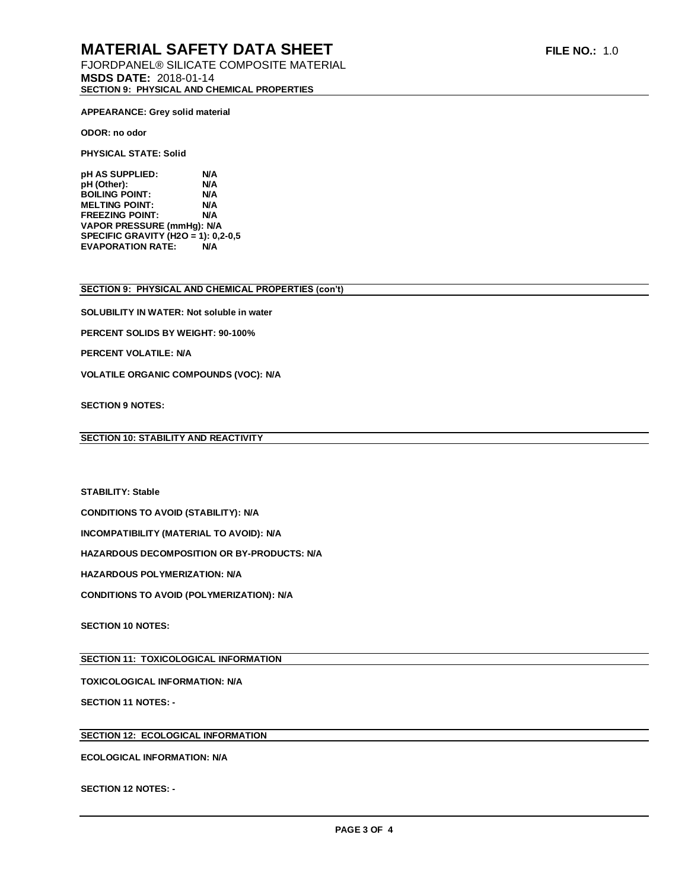**APPEARANCE: Grey solid material**

**ODOR: no odor**

**PHYSICAL STATE: Solid**

pH AS SUPPLIED: N/A<br>pH (Other): N/A **pH** (Other): **BOILING POINT:**<br> **MELTING POINT:** N/A **MELTING POINT: N/A FREEZING POINT: VAPOR PRESSURE (mmHg): N/A SPECIFIC GRAVITY (H2O = 1): 0,2-0,5 EVAPORATION RATE:** 

**SECTION 9: PHYSICAL AND CHEMICAL PROPERTIES (con't)**

**SOLUBILITY IN WATER: Not soluble in water**

**PERCENT SOLIDS BY WEIGHT: 90-100%**

**PERCENT VOLATILE: N/A**

**VOLATILE ORGANIC COMPOUNDS (VOC): N/A**

**SECTION 9 NOTES:**

**SECTION 10: STABILITY AND REACTIVITY**

**STABILITY: Stable**

**CONDITIONS TO AVOID (STABILITY): N/A**

**INCOMPATIBILITY (MATERIAL TO AVOID): N/A**

**HAZARDOUS DECOMPOSITION OR BY-PRODUCTS: N/A**

**HAZARDOUS POLYMERIZATION: N/A**

**CONDITIONS TO AVOID (POLYMERIZATION): N/A**

**SECTION 10 NOTES:**

**SECTION 11: TOXICOLOGICAL INFORMATION**

**TOXICOLOGICAL INFORMATION: N/A**

**SECTION 11 NOTES: -**

**SECTION 12: ECOLOGICAL INFORMATION**

**ECOLOGICAL INFORMATION: N/A**

**SECTION 12 NOTES: -**